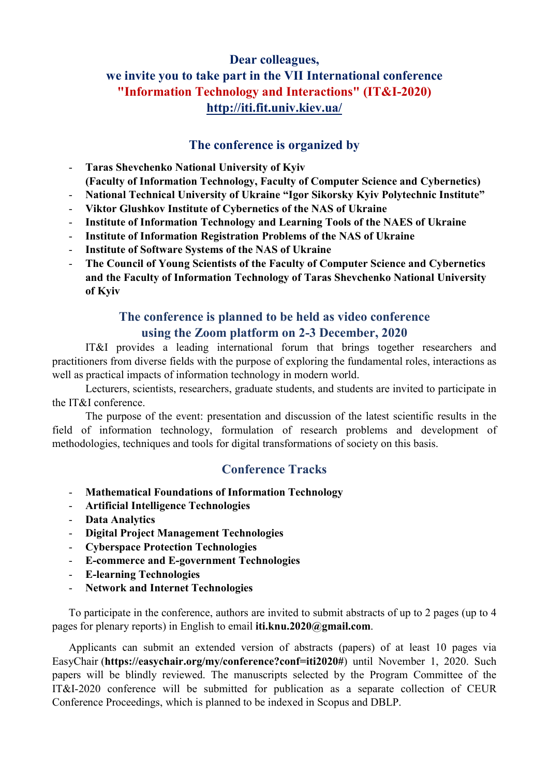# Dear colleagues, we invite you to take part in the VII International conference "Information Technology and Interactions" (IT&I-2020) http://iti.fit.univ.kiev.ua/

#### The conference is organized by

- Taras Shevchenko National University of Kyiv (Faculty of Information Technology, Faculty of Computer Science and Cybernetics)
- National Technical University of Ukraine "Igor Sikorsky Kyiv Polytechnic Institute"
- Viktor Glushkov Institute of Cybernetics of the NAS of Ukraine
- Institute of Information Technology and Learning Tools of the NAES of Ukraine
- Institute of Information Registration Problems of the NAS of Ukraine
- Institute of Software Systems of the NAS of Ukraine
- The Council of Young Scientists of the Faculty of Computer Science and Cybernetics and the Faculty of Information Technology of Taras Shevchenko National University of Kyiv

# The conference is planned to be held as video conference using the Zoom platform on 2-3 December, 2020

IT&I provides a leading international forum that brings together researchers and practitioners from diverse fields with the purpose of exploring the fundamental roles, interactions as well as practical impacts of information technology in modern world.

Lecturers, scientists, researchers, graduate students, and students are invited to participate in the IT&I conference.

The purpose of the event: presentation and discussion of the latest scientific results in the field of information technology, formulation of research problems and development of methodologies, techniques and tools for digital transformations of society on this basis.

### Conference Tracks

- Mathematical Foundations of Information Technology
- Artificial Intelligence Technologies
- Data Analytics
- Digital Project Management Technologies
- Cyberspace Protection Technologies
- E-commerce and E-government Technologies
- E-learning Technologies
- Network and Internet Technologies

To participate in the conference, authors are invited to submit abstracts of up to 2 pages (up to 4 pages for plenary reports) in English to email iti.knu.2020@gmail.com.

Applicants can submit an extended version of abstracts (papers) of at least 10 pages via EasyChair (https://easychair.org/my/conference?conf=iti2020#) until November 1, 2020. Such papers will be blindly reviewed. The manuscripts selected by the Program Committee of the IT&I-2020 conference will be submitted for publication as a separate collection of CEUR Conference Proceedings, which is planned to be indexed in Scopus and DBLP.